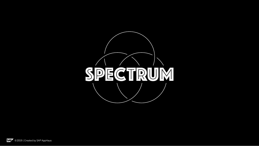

SAP © 2019 | Created by SAP AppHaus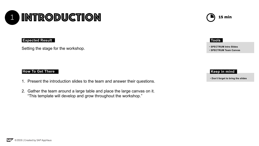#### **How To Get There**



Setting the stage for the workshop.

- 1. Present the introduction slides to the team and answer their questions.
- 2. Gather the team around a large table and place the large canvas on it. "This template will develop and grow throughout the workshop."



#### **Expected Result**



- **SPECTRUM Intro Slides**
- **SPECTRUM Team Canvas**

#### **Tools**

• **Don't forget to bring the slides**

## **Keep in mind**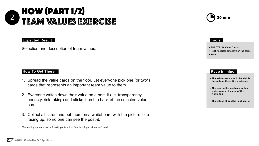#### **How To Get There How To Get There**



- 1. Spread the value cards on the floor. Let everyone pick one (or two**\***) cards that represents an important team value to them.
- 2. Everyone writes down their value on a post-it (i.e. transparency, honesty, risk-taking) and sticks it on the back of the selected value card.
- 3. Collect all cards and put them on a whiteboard with the picture side facing up, so no one can see the post-it.

#### **Tools Tools**

#### **Keep in mind Keep in mind**

**\***Depending on team size: ≤ 8 participants = 1 or 2 cards, > 8 participants = 1 card



- **SPECTRUM Value Cards**
- **Post-its** (sized smaller than the cards)
- **Pens**

Selection and description of team values.

- **The value cards should be visible throughout the entire workshop**
- **The team will come back to this whiteboard at the end of the workshop**
- **The values should be kept secret**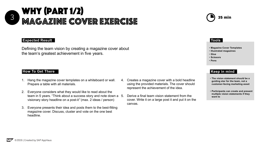# $3 \quad$  M  $4 \quad \textcircled{2}$   $\blacksquare$   $\blacksquare$   $\blacksquare$   $\blacksquare$   $\blacksquare$   $\blacksquare$   $\blacksquare$   $\blacksquare$   $\blacksquare$   $\blacksquare$   $\blacksquare$   $\blacksquare$   $\blacksquare$   $\blacksquare$   $\blacksquare$   $\blacksquare$   $\blacksquare$   $\blacksquare$   $\blacksquare$   $\blacksquare$   $\blacksquare$   $\blacksquare$   $\blacksquare$   $\blacksquare$   $\blacksquare$   $\blacksquare$   $\blacksquare$   $\blacksquare$   $\blacks$ WHY (part 1/2) Magazine cover Exercise

#### **How To Get There How To Get There**

- 1. Hang the magazine cover templates on a whiteboard or wall. Prepare a table with all materials.
- 2. Everyone considers what they would like to read about the team in 5 years. "Think about a success story and note down a 5. visionary story headline on a post-it*"* (max. 2 ideas / person)
- 3. Everyone presents their idea and posts them to the best-fitting magazine cover. Discuss, cluster and vote on the one best headline.

#### **Tools Tools**

- **Magazine Cover Templates**
- **Illustrated magazines**
- **Glue**
- **Scissors**
- **Pens**

### **Keep in mind Keep in mind**

Defining the team vision by creating a magazine cover about the team's greatest achievement in five years.

> 4. Creates a magazine cover with a bold headline using the provided materials. The cover should represent the achievement of the idea.

5. Derive a final team vision statement from the cover. Write it on a large post it and put it on the

- 
- canvas.





- **The vision statement should be a guiding star for the team, not a customer-facing marketing asset**
- **Participants can create and present multiple vision statements if they want to**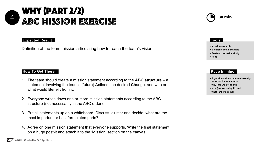# $\overline{4}$  a De MIRRIAN EVEDERE  $\overline{2}$  30 min Why (part 2/2) abc mission exercise

#### **How To Get There How To Get There**

- 1. The team should create a mission statement according to the **ABC structure**  a statement involving the team's (future) **A**ctions, the desired **C**hange, and who or what would **Benefit from it.**
- 2. Everyone writes down one or more mission statements according to the ABC structure (not necessarily in the ABC order).
- 3. Put all statements up on a whiteboard. Discuss, cluster and decide: what are the most important or best formulated parts?
- 4. Agree on one mission statement that everyone supports. Write the final statement on a huge post-it and attach it to the 'Mission' section on the canvas.



### **Tools Tools**

## **Keep in mind Keep in mind**

- **Mission example**
- **Mission syntax example**
- **Post-its, normal and big**
- **Pens**

Definition of the team mission articulating how to reach the team's vision.

- **A good mission statement usually answers the questions:**
- **- why (are we doing this)**
- **- how (are we doing it), and**
- **- what (are we doing)**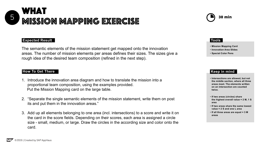## $\overline{5}$  MIRRIAM MAMME EVEDERIC  $\overline{5}$  30 min What mission Mapping exercise

#### **How To Get There How To Get There**

- 1. Introduce the innovation area diagram and how to translate the mission into a proportional team composition, using the examples provided. Put the Mission Mapping card on the large table.
- 2. "Separate the single semantic elements of the mission statement, write them on post its and put them in the innovation areas."
- 3. Add up all elements belonging to one area (incl. intersections) to a score and write it on the card in the score fields. Depending on their scores, each area is assigned a circle size - small, medium, or large. Draw the circles in the according size and color onto the card.



### **Tools Tools**

## **Keep in mind Keep in mind**

- **Mission Mapping Card**
- **Innovation Area Slides**
- **Special Color Pens**

The semantic elements of the mission statement get mapped onto the innovation areas. The number of mission elements per areas defines their sizes. The sizes give a rough idea of the desired team composition (refined in the next step).

- **Intersections are allowed, but not the middle section, where all three areas meet. The elements written on an intersection are counted twice.**
- **If two areas (circles) share the highest overall value = 2 M, 1 S area**
- **If two areas share the same lowest value = 2 S and one L area**
- **If all three areas are equal = 3 M areas**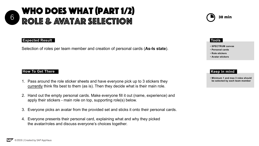## **How To Get There How To Get There**



- 1. Pass around the role sticker sheets and have everyone pick up to 3 stickers they currently think fits best to them (as is). Then they decide what is their main role.
- 2. Hand out the empty personal cards. Make everyone fill it out (name, experience) and apply their stickers - main role on top, supporting role(s) below.
- 3. Everyone picks an avatar from the provided set and sticks it onto their personal cards.
- 4. Everyone presents their personal card, explaining what and why they picked the avatar/roles and discuss everyone's choices together.



#### **Tools Tools**

#### **Keep in mind Keep in mind**

- **SPECTRUM canvas**
- **Personal cards**
- **Role stickers**
- **Avatar stickers**

Selection of roles per team member and creation of personal cards (**As-Is state**).

• **Minimum 1 and max 3 roles should be selected by each team member**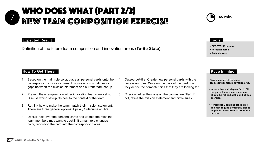# $7$  MEW TE AM CAMBACITION EVERCICE  $\bigcirc$  45 min Who does what (part 2/2) New TEAM composition exercise

#### **How To Get There How To Get There**

- 1. Based on the main role color, place all personal cards onto the corresponding innovation area. Discuss any mismatches or gaps between the mission statement and current team set-up.
- 2. Present the examples how other innovation teams are set up. Discuss which set-up fits best to the context of the team.
- 3. Rethink how to make the team match their mission statement. There are three general options: Upskill**,** Outsource or Hire.
- 4. Upskill: Fold over the personal cards and update the roles the team members may want to upskill. If a main role changes color, reposition the card into the corresponding area.
- 
- 





#### **Tools Tools**

#### **Keep in mind Keep in mind**

- **SPECTRUM canvas**
- **Personal cards**
- **Role stickers**

Definition of the future team composition and innovation areas (**To-Be State**).

- **Take a picture of the as-is team composition/innovation area.**
- **In case these strategies fail to fill the gaps, the mission statement should be refined at the end of this exercise.**
- **Remember Upskilling takes time and may require somebody else to step in for the current tasks of that person.**

4. Outsource/Hire: Create new personal cards with the necessary roles. Write on the back of the card how they define the competencies that they are looking for.

5. Check whether the gaps on the canvas are filled. If not, refine the mission statement and circle sizes.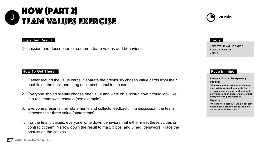# $8$  THE A M MAILINER EVED FIRE How (part 2) TEAM VALUES EXERCISE

#### **How To Get There How To Get There**

- 1. Gather around the value cards. Separate the previously chosen value cards from their post-its on the back and hang each post-it next to the card.
- 2. Everyone should silently choose one value and write on a post-it how it could look like in a real team work context (see example).
- 3. Everyone presents their statements and collects feedback. In a discussion, the team chooses their three value (statements).
- 4. For the final 3 values, everyone write down behaviors that either meet these values or contradict them. Narrow down the result to max. 3 pos. and 3 neg. behaviors. Place the post-its on the canvas.



#### **Tools Tools**

#### **Keep in mind Keep in mind**

- **SPECTRUM VALUE CARDS**
- **LARGE POST-ITS**
- **PENS**

Discussion and description of common team values and behaviors.

**Example: Post-it "Transparency" Positive:**

**"We work with maximum openness, use collaborative documents that everyone can access, and conduct conversations in open channels that everyone can participate in.** 

#### **Negative.**

**"We are not secretive, we do not talk behind each other's backs, and we do not work in isolation."**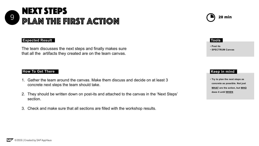#### **How To Get There**

#### **Expected Result**

## $9 \n\bigcap A \bigcup A$  in The Eingt a  $e$ tion Next Steps Plan the first action

- **Post its**
- 

The team discusses the next steps and finally makes sure **Fig. 1996.** The team discusses the next steps and finally makes sure that all the artifacts they created are on the team canvas.

#### **Tools Tools**

#### **Keep in mind Keep in mind**

• **Try to plan the next steps as concrete as possible. Not just WHAT are the action, but WHO does it until WHEN**

- 1. Gather the team around the canvas. Make them discuss and decide on at least 3 concrete next steps the team should take.
- 2. They should be written down on post-its and attached to the canvas in the 'Next Steps' section.
- 3. Check and make sure that all sections are filled with the workshop results.